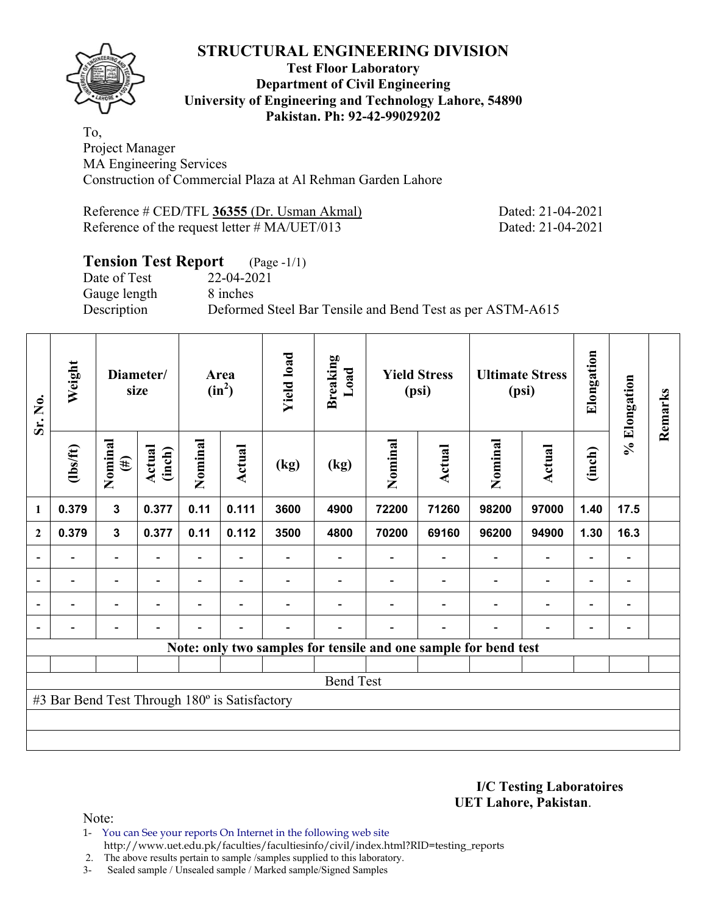

#### **Test Floor Laboratory Department of Civil Engineering University of Engineering and Technology Lahore, 54890 Pakistan. Ph: 92-42-99029202**

To, Project Manager MA Engineering Services Construction of Commercial Plaza at Al Rehman Garden Lahore

Reference # CED/TFL **36355** (Dr. Usman Akmal) Dated: 21-04-2021 Reference of the request letter # MA/UET/013 Dated: 21-04-2021

### **Tension Test Report** (Page -1/1)

Date of Test 22-04-2021 Gauge length 8 inches

Description Deformed Steel Bar Tensile and Bend Test as per ASTM-A615

| Sr. No.                  | Weight                                        |                          | Diameter/<br>size |         | Area<br>$(in^2)$ | <b>Yield load</b> | <b>Breaking</b><br>Load                                         | <b>Yield Stress</b><br>(psi) |                | <b>Ultimate Stress</b><br>(psi) |                          | Elongation               | % Elongation             | Remarks |
|--------------------------|-----------------------------------------------|--------------------------|-------------------|---------|------------------|-------------------|-----------------------------------------------------------------|------------------------------|----------------|---------------------------------|--------------------------|--------------------------|--------------------------|---------|
|                          | $\frac{2}{10}$                                | Nominal<br>$(\#)$        | Actual<br>(inch)  | Nominal | Actual           | (kg)              | (kg)                                                            | Nominal                      | Actual         | Nominal                         | <b>Actual</b>            | (inch)                   |                          |         |
| 1                        | 0.379                                         | $\mathbf{3}$             | 0.377             | 0.11    | 0.111            | 3600              | 4900                                                            | 72200                        | 71260          | 98200                           | 97000                    | 1.40                     | 17.5                     |         |
| $\overline{2}$           | 0.379                                         | $\mathbf{3}$             | 0.377             | 0.11    | 0.112            | 3500              | 4800                                                            | 70200                        | 69160          | 96200                           | 94900                    | 1.30                     | 16.3                     |         |
|                          |                                               | $\overline{\phantom{0}}$ |                   |         |                  |                   |                                                                 |                              |                |                                 | $\overline{\phantom{0}}$ | $\overline{\phantom{0}}$ |                          |         |
|                          | $\overline{\phantom{0}}$                      | $\qquad \qquad -$        |                   |         | ۰                |                   |                                                                 |                              |                |                                 | $\overline{\phantom{0}}$ | $\overline{\phantom{a}}$ | $\overline{\phantom{0}}$ |         |
| $\overline{\phantom{a}}$ | $\blacksquare$                                | $\blacksquare$           | $\blacksquare$    |         | $\blacksquare$   |                   |                                                                 |                              | $\blacksquare$ | $\overline{\phantom{a}}$        | $\overline{a}$           | $\overline{\phantom{0}}$ | $\overline{\phantom{0}}$ |         |
|                          | $\overline{\phantom{0}}$                      | $\overline{\phantom{a}}$ |                   |         | ۰                |                   |                                                                 |                              | $\blacksquare$ | ۰                               | $\overline{\phantom{0}}$ | $\overline{\phantom{a}}$ | $\blacksquare$           |         |
|                          |                                               |                          |                   |         |                  |                   | Note: only two samples for tensile and one sample for bend test |                              |                |                                 |                          |                          |                          |         |
|                          |                                               |                          |                   |         |                  |                   |                                                                 |                              |                |                                 |                          |                          |                          |         |
|                          |                                               |                          |                   |         |                  |                   | <b>Bend Test</b>                                                |                              |                |                                 |                          |                          |                          |         |
|                          | #3 Bar Bend Test Through 180° is Satisfactory |                          |                   |         |                  |                   |                                                                 |                              |                |                                 |                          |                          |                          |         |
|                          |                                               |                          |                   |         |                  |                   |                                                                 |                              |                |                                 |                          |                          |                          |         |
|                          |                                               |                          |                   |         |                  |                   |                                                                 |                              |                |                                 |                          |                          |                          |         |

**I/C Testing Laboratoires UET Lahore, Pakistan**.

Note:

- 1- You can See your reports On Internet in the following web site http://www.uet.edu.pk/faculties/facultiesinfo/civil/index.html?RID=testing\_reports
- 2. The above results pertain to sample /samples supplied to this laboratory.
- 3- Sealed sample / Unsealed sample / Marked sample/Signed Samples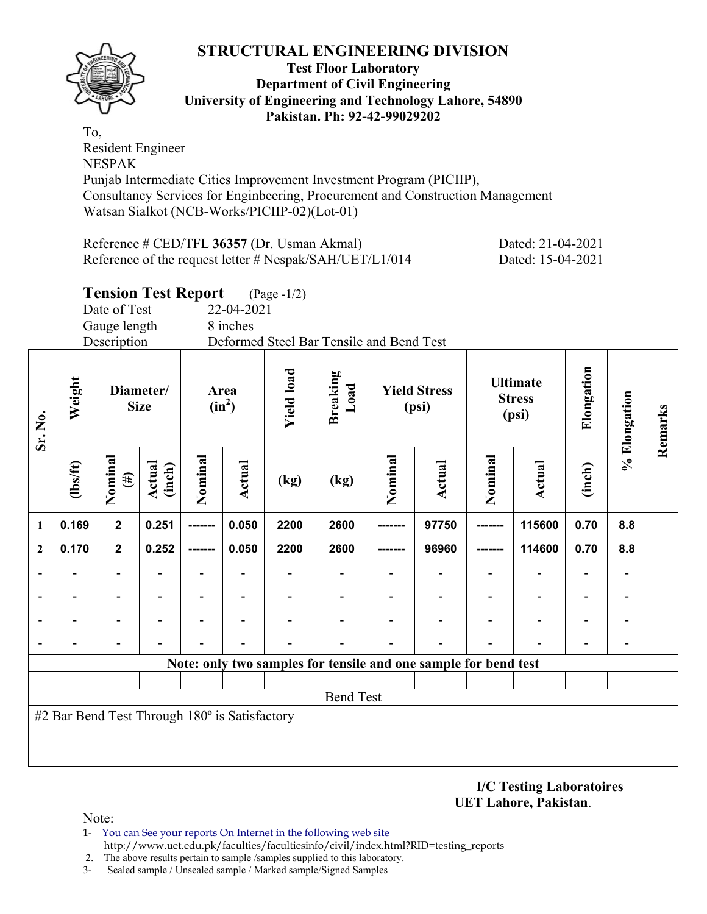

**Test Floor Laboratory Department of Civil Engineering University of Engineering and Technology Lahore, 54890 Pakistan. Ph: 92-42-99029202** 

To, Resident Engineer NESPAK Punjab Intermediate Cities Improvement Investment Program (PICIIP), Consultancy Services for Enginbeering, Procurement and Construction Management Watsan Sialkot (NCB-Works/PICIIP-02)(Lot-01)

| Reference # CED/TFL 36357 (Dr. Usman Akmal)               | Dated: 21-04-2021 |
|-----------------------------------------------------------|-------------------|
| Reference of the request letter # $Nespak/SAH/UET/L1/014$ | Dated: 15-04-2021 |

# **Tension Test Report** (Page -1/2)

Date of Test 22-04-2021 Gauge length 8 inches

Description Deformed Steel Bar Tensile and Bend Test

| Sr. No.                  | Weight                                        |                   | Diameter/<br><b>Size</b> | Area<br>$(in^2)$         |                          | <b>Yield load</b>        | <b>Breaking</b><br>Load  | <b>Yield Stress</b><br>(psi) |                                                                 | <b>Ultimate</b><br><b>Stress</b><br>(psi) |                | Elongation               | % Elongation             | Remarks |
|--------------------------|-----------------------------------------------|-------------------|--------------------------|--------------------------|--------------------------|--------------------------|--------------------------|------------------------------|-----------------------------------------------------------------|-------------------------------------------|----------------|--------------------------|--------------------------|---------|
|                          | $\frac{2}{10}$                                | Nominal<br>$(\#)$ | Actual<br>(inch)         | Nominal                  | Actual                   | (kg)                     | $\left(\text{kg}\right)$ | Nominal                      | <b>Actual</b>                                                   | Nominal                                   | Actual         | (inch)                   |                          |         |
| 1                        | 0.169                                         | $\mathbf{2}$      | 0.251                    | --------                 | 0.050                    | 2200                     | 2600                     | -------                      | 97750                                                           | --------                                  | 115600         | 0.70                     | 8.8                      |         |
| $\mathbf{2}$             | 0.170                                         | $\overline{2}$    | 0.252                    | -------                  | 0.050                    | 2200                     | 2600                     |                              | 96960                                                           |                                           | 114600         | 0.70                     | 8.8                      |         |
|                          |                                               |                   |                          |                          |                          |                          |                          |                              |                                                                 |                                           |                |                          |                          |         |
| $\blacksquare$           |                                               | -                 |                          | $\overline{\phantom{0}}$ | $\overline{\phantom{a}}$ |                          |                          |                              | $\overline{\phantom{0}}$                                        | $\overline{\phantom{0}}$                  |                |                          | $\blacksquare$           |         |
| $\blacksquare$           | $\blacksquare$                                | $\blacksquare$    |                          | $\blacksquare$           | $\overline{\phantom{a}}$ |                          |                          |                              | $\overline{\phantom{0}}$                                        | $\blacksquare$                            | $\blacksquare$ |                          | $\overline{\phantom{a}}$ |         |
| $\overline{\phantom{0}}$ | $\blacksquare$                                | -                 |                          | $\overline{\phantom{0}}$ | $\overline{\phantom{a}}$ | $\overline{\phantom{0}}$ |                          |                              | $\overline{\phantom{a}}$                                        | $\overline{\phantom{0}}$                  |                | $\overline{\phantom{0}}$ | $\overline{\phantom{a}}$ |         |
|                          |                                               |                   |                          |                          |                          |                          |                          |                              | Note: only two samples for tensile and one sample for bend test |                                           |                |                          |                          |         |
|                          |                                               |                   |                          |                          |                          |                          |                          |                              |                                                                 |                                           |                |                          |                          |         |
|                          |                                               |                   |                          |                          |                          |                          | <b>Bend Test</b>         |                              |                                                                 |                                           |                |                          |                          |         |
|                          | #2 Bar Bend Test Through 180° is Satisfactory |                   |                          |                          |                          |                          |                          |                              |                                                                 |                                           |                |                          |                          |         |
|                          |                                               |                   |                          |                          |                          |                          |                          |                              |                                                                 |                                           |                |                          |                          |         |
|                          |                                               |                   |                          |                          |                          |                          |                          |                              |                                                                 |                                           |                |                          |                          |         |

**I/C Testing Laboratoires UET Lahore, Pakistan**.

Note:

- 1- You can See your reports On Internet in the following web site http://www.uet.edu.pk/faculties/facultiesinfo/civil/index.html?RID=testing\_reports
- 2. The above results pertain to sample /samples supplied to this laboratory.
- 3- Sealed sample / Unsealed sample / Marked sample/Signed Samples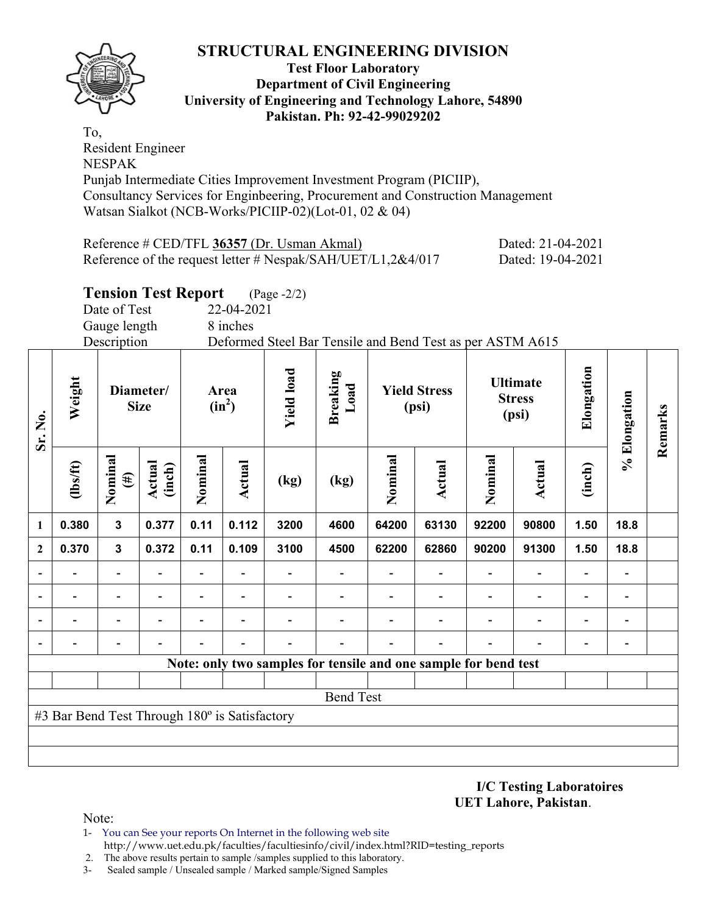

**Test Floor Laboratory Department of Civil Engineering University of Engineering and Technology Lahore, 54890 Pakistan. Ph: 92-42-99029202** 

To, Resident Engineer NESPAK Punjab Intermediate Cities Improvement Investment Program (PICIIP), Consultancy Services for Enginbeering, Procurement and Construction Management Watsan Sialkot (NCB-Works/PICIIP-02)(Lot-01, 02 & 04)

| Reference # CED/TFL 36357 (Dr. Usman Akmal)                 | Dated: 21-04-2021 |
|-------------------------------------------------------------|-------------------|
| Reference of the request letter # Nespak/SAH/UET/L1,2&4/017 | Dated: 19-04-2021 |

### **Tension Test Report** (Page -2/2)

Date of Test 22-04-2021

Gauge length 8 inches

Description Deformed Steel Bar Tensile and Bend Test as per ASTM A615

| Sr. No.                  | Weight                                        | Diameter/<br><b>Size</b> |                         | Area<br>$(in^2)$ |                | <b>Yield load</b> | <b>Breaking</b><br>Load                                         | <b>Yield Stress</b><br>(psi) |                          | <b>Ultimate</b><br><b>Stress</b><br>(psi) |               | Elongation | % Elongation             | Remarks |
|--------------------------|-----------------------------------------------|--------------------------|-------------------------|------------------|----------------|-------------------|-----------------------------------------------------------------|------------------------------|--------------------------|-------------------------------------------|---------------|------------|--------------------------|---------|
|                          | $\frac{2}{10}$                                | Nominal<br>$(\#)$        | <b>Actual</b><br>(inch) | Nominal          | <b>Actual</b>  | (kg)              | (kg)                                                            | Nominal                      | <b>Actual</b>            | Nominal                                   | <b>Actual</b> | (inch)     |                          |         |
| 1                        | 0.380                                         | $\overline{\mathbf{3}}$  | 0.377                   | 0.11             | 0.112          | 3200              | 4600                                                            | 64200                        | 63130                    | 92200                                     | 90800         | 1.50       | 18.8                     |         |
| $\mathbf{2}$             | 0.370                                         | $\mathbf 3$              | 0.372                   | 0.11             | 0.109          | 3100              | 4500                                                            | 62200                        | 62860                    | 90200                                     | 91300         | 1.50       | 18.8                     |         |
|                          |                                               |                          |                         |                  |                |                   |                                                                 |                              |                          |                                           |               |            |                          |         |
| $\overline{\phantom{a}}$ |                                               | $\overline{\phantom{a}}$ |                         |                  |                |                   |                                                                 |                              | $\overline{\phantom{0}}$ | $\blacksquare$                            |               |            | $\overline{\phantom{a}}$ |         |
|                          | $\blacksquare$                                | $\overline{\phantom{0}}$ |                         |                  | $\blacksquare$ |                   |                                                                 |                              |                          | $\overline{\phantom{0}}$                  |               |            | $\overline{\phantom{a}}$ |         |
|                          |                                               | -                        |                         |                  | $\blacksquare$ |                   |                                                                 |                              |                          | $\blacksquare$                            |               |            | $\overline{\phantom{a}}$ |         |
|                          |                                               |                          |                         |                  |                |                   | Note: only two samples for tensile and one sample for bend test |                              |                          |                                           |               |            |                          |         |
|                          |                                               |                          |                         |                  |                |                   |                                                                 |                              |                          |                                           |               |            |                          |         |
|                          |                                               |                          |                         |                  |                |                   | <b>Bend Test</b>                                                |                              |                          |                                           |               |            |                          |         |
|                          | #3 Bar Bend Test Through 180° is Satisfactory |                          |                         |                  |                |                   |                                                                 |                              |                          |                                           |               |            |                          |         |
|                          |                                               |                          |                         |                  |                |                   |                                                                 |                              |                          |                                           |               |            |                          |         |
|                          |                                               |                          |                         |                  |                |                   |                                                                 |                              |                          |                                           |               |            |                          |         |

**I/C Testing Laboratoires UET Lahore, Pakistan**.

Note:

- 1- You can See your reports On Internet in the following web site http://www.uet.edu.pk/faculties/facultiesinfo/civil/index.html?RID=testing\_reports
- 2. The above results pertain to sample /samples supplied to this laboratory.
- 3- Sealed sample / Unsealed sample / Marked sample/Signed Samples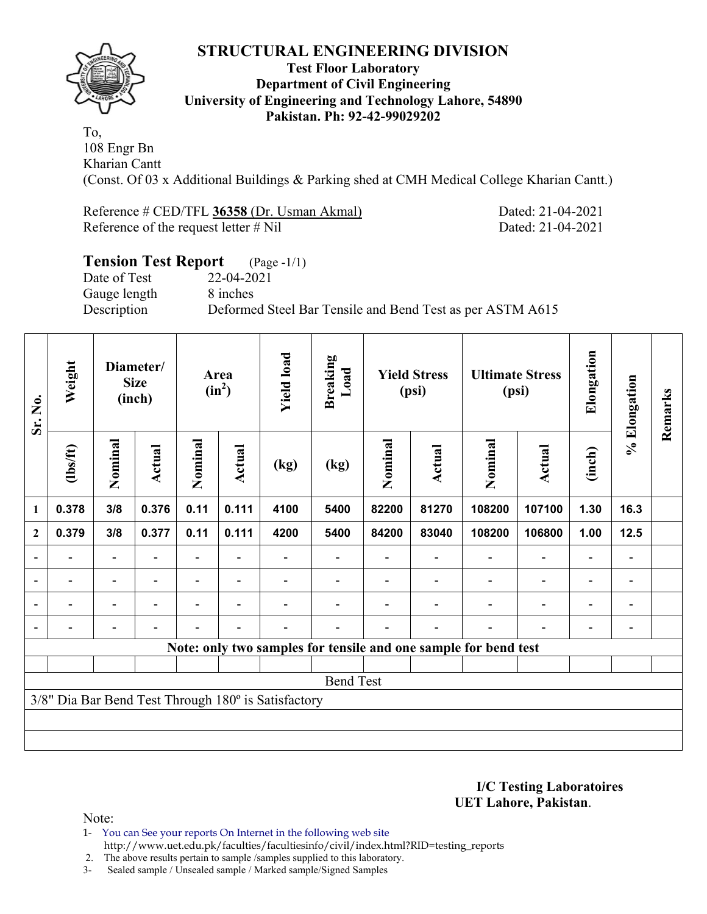

#### **Test Floor Laboratory Department of Civil Engineering University of Engineering and Technology Lahore, 54890 Pakistan. Ph: 92-42-99029202**

To, 108 Engr Bn Kharian Cantt

(Const. Of 03 x Additional Buildings & Parking shed at CMH Medical College Kharian Cantt.)

Reference # CED/TFL **36358** (Dr. Usman Akmal) Dated: 21-04-2021 Reference of the request letter # Nil Dated: 21-04-2021

# **Tension Test Report** (Page -1/1) Date of Test 22-04-2021 Gauge length 8 inches Description Deformed Steel Bar Tensile and Bend Test as per ASTM A615

| Sr. No.      | Weight         | Diameter/<br><b>Size</b><br>(inch) |                          | Area<br>$(in^2)$         |        | <b>Yield load</b>                                   | <b>Breaking</b><br>Load  | <b>Yield Stress</b><br>(psi) |                          | <b>Ultimate Stress</b><br>(psi)                                 |        | Elongation               | % Elongation             | Remarks |
|--------------|----------------|------------------------------------|--------------------------|--------------------------|--------|-----------------------------------------------------|--------------------------|------------------------------|--------------------------|-----------------------------------------------------------------|--------|--------------------------|--------------------------|---------|
|              | $\frac{2}{10}$ | Nominal                            | Actual                   | Nominal                  | Actual | (kg)                                                | (kg)                     | Nominal                      | Actual                   | Nominal                                                         | Actual | (inch)                   |                          |         |
| 1            | 0.378          | 3/8                                | 0.376                    | 0.11                     | 0.111  | 4100                                                | 5400                     | 82200                        | 81270                    | 108200                                                          | 107100 | 1.30                     | 16.3                     |         |
| $\mathbf{2}$ | 0.379          | 3/8                                | 0.377                    | 0.11                     | 0.111  | 4200                                                | 5400                     | 84200                        | 83040                    | 108200                                                          | 106800 | 1.00                     | $12.5$                   |         |
|              |                |                                    |                          |                          |        |                                                     |                          |                              |                          |                                                                 |        |                          |                          |         |
|              |                |                                    |                          |                          |        |                                                     | $\overline{\phantom{0}}$ |                              | $\overline{\phantom{0}}$ | $\overline{\phantom{0}}$                                        |        |                          | $\overline{\phantom{0}}$ |         |
|              |                |                                    |                          | $\overline{\phantom{0}}$ |        |                                                     | $\overline{\phantom{0}}$ |                              |                          |                                                                 |        | $\overline{\phantom{0}}$ | $\overline{\phantom{0}}$ |         |
|              |                |                                    | $\overline{\phantom{0}}$ |                          |        |                                                     |                          |                              |                          |                                                                 |        |                          | $\overline{\phantom{a}}$ |         |
|              |                |                                    |                          |                          |        |                                                     |                          |                              |                          | Note: only two samples for tensile and one sample for bend test |        |                          |                          |         |
|              |                |                                    |                          |                          |        |                                                     |                          |                              |                          |                                                                 |        |                          |                          |         |
|              |                |                                    |                          |                          |        |                                                     | <b>Bend Test</b>         |                              |                          |                                                                 |        |                          |                          |         |
|              |                |                                    |                          |                          |        | 3/8" Dia Bar Bend Test Through 180° is Satisfactory |                          |                              |                          |                                                                 |        |                          |                          |         |
|              |                |                                    |                          |                          |        |                                                     |                          |                              |                          |                                                                 |        |                          |                          |         |
|              |                |                                    |                          |                          |        |                                                     |                          |                              |                          |                                                                 |        |                          |                          |         |

**I/C Testing Laboratoires UET Lahore, Pakistan**.

Note:

1- You can See your reports On Internet in the following web site http://www.uet.edu.pk/faculties/facultiesinfo/civil/index.html?RID=testing\_reports

2. The above results pertain to sample /samples supplied to this laboratory.

3- Sealed sample / Unsealed sample / Marked sample/Signed Samples